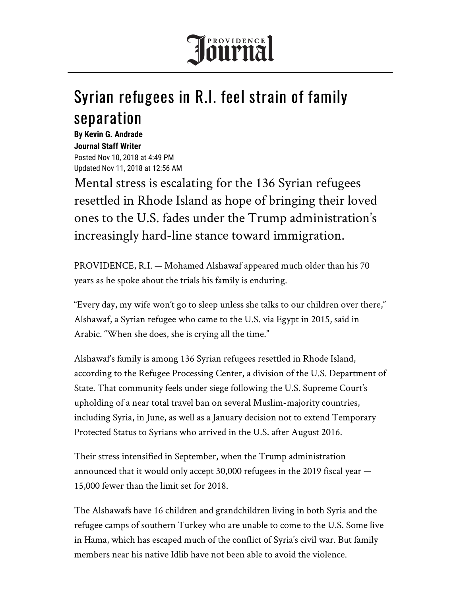

## Syrian refugees in R.I. feel strain of family separation

**By Kevin G. Andrade Journal Staff Writer**  Posted Nov 10, 2018 at 4:49 PM Updated Nov 11, 2018 at 12:56 AM

Mental stress is escalating for the 136 Syrian refugees resettled in Rhode Island as hope of bringing their loved ones to the U.S. fades under the Trump administration's increasingly hard-line stance toward immigration.

PROVIDENCE, R.I. — Mohamed Alshawaf appeared much older than his 70 years as he spoke about the trials his family is enduring.

"Every day, my wife won't go to sleep unless she talks to our children over there," Alshawaf, a Syrian refugee who came to the U.S. via Egypt in 2015, said in Arabic. "When she does, she is crying all the time."

Alshawaf's family is among 136 Syrian refugees resettled in Rhode Island, according to the Refugee Processing Center, a division of the U.S. Department of State. That community feels under siege following the U.S. Supreme Court's upholding of a near total travel ban on several Muslim-majority countries, including Syria, in June, as well as a January decision not to extend Temporary Protected Status to Syrians who arrived in the U.S. after August 2016.

Their stress intensified in September, when the Trump administration announced that it would only accept 30,000 refugees in the 2019 fiscal year — 15,000 fewer than the limit set for 2018.

The Alshawafs have 16 children and grandchildren living in both Syria and the refugee camps of southern Turkey who are unable to come to the U.S. Some live in Hama, which has escaped much of the conflict of Syria's civil war. But family members near his native Idlib have not been able to avoid the violence.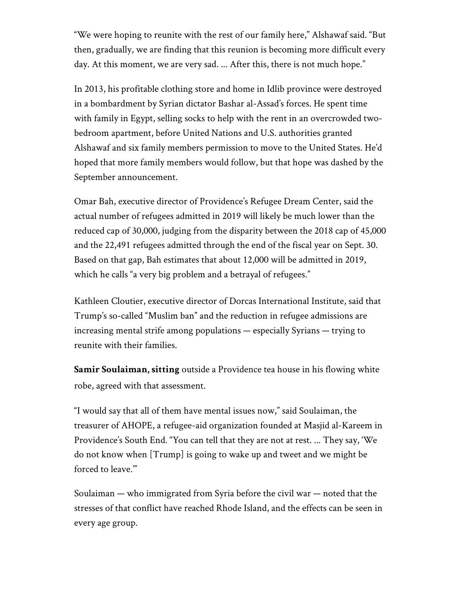"We were hoping to reunite with the rest of our family here," Alshawaf said. "But then, gradually, we are finding that this reunion is becoming more difficult every day. At this moment, we are very sad. ... After this, there is not much hope."

In 2013, his profitable clothing store and home in Idlib province were destroyed in a bombardment by Syrian dictator Bashar al-Assad's forces. He spent time with family in Egypt, selling socks to help with the rent in an overcrowded twobedroom apartment, before United Nations and U.S. authorities granted Alshawaf and six family members permission to move to the United States. He'd hoped that more family members would follow, but that hope was dashed by the September announcement.

Omar Bah, executive director of Providence's Refugee Dream Center, said the actual number of refugees admitted in 2019 will likely be much lower than the reduced cap of 30,000, judging from the disparity between the 2018 cap of 45,000 and the 22,491 refugees admitted through the end of the fiscal year on Sept. 30. Based on that gap, Bah estimates that about 12,000 will be admitted in 2019, which he calls "a very big problem and a betrayal of refugees."

Kathleen Cloutier, executive director of Dorcas International Institute, said that Trump's so-called "Muslim ban" and the reduction in refugee admissions are increasing mental strife among populations — especially Syrians — trying to reunite with their families.

**Samir Soulaiman, sitting** outside a Providence tea house in his flowing white robe, agreed with that assessment.

"I would say that all of them have mental issues now," said Soulaiman, the treasurer of AHOPE, a refugee-aid organization founded at Masjid al-Kareem in Providence's South End. "You can tell that they are not at rest. ... They say, 'We do not know when [Trump] is going to wake up and tweet and we might be forced to leave.'"

Soulaiman — who immigrated from Syria before the civil war — noted that the stresses of that conflict have reached Rhode Island, and the effects can be seen in every age group.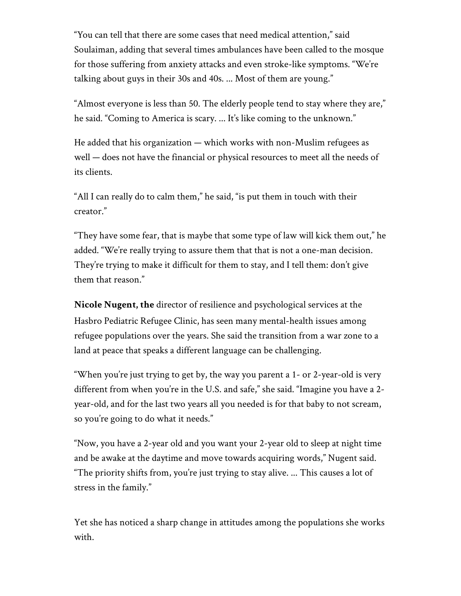"You can tell that there are some cases that need medical attention," said Soulaiman, adding that several times ambulances have been called to the mosque for those suffering from anxiety attacks and even stroke-like symptoms. "We're talking about guys in their 30s and 40s. ... Most of them are young."

"Almost everyone is less than 50. The elderly people tend to stay where they are," he said. "Coming to America is scary. ... It's like coming to the unknown."

He added that his organization — which works with non-Muslim refugees as well — does not have the financial or physical resources to meet all the needs of its clients.

"All I can really do to calm them," he said, "is put them in touch with their creator."

"They have some fear, that is maybe that some type of law will kick them out," he added. "We're really trying to assure them that that is not a one-man decision. They're trying to make it difficult for them to stay, and I tell them: don't give them that reason."

**Nicole Nugent, the** director of resilience and psychological services at the Hasbro Pediatric Refugee Clinic, has seen many mental-health issues among refugee populations over the years. She said the transition from a war zone to a land at peace that speaks a different language can be challenging.

"When you're just trying to get by, the way you parent a 1- or 2-year-old is very different from when you're in the U.S. and safe," she said. "Imagine you have a 2 year-old, and for the last two years all you needed is for that baby to not scream, so you're going to do what it needs."

"Now, you have a 2-year old and you want your 2-year old to sleep at night time and be awake at the daytime and move towards acquiring words," Nugent said. "The priority shifts from, you're just trying to stay alive. ... This causes a lot of stress in the family."

Yet she has noticed a sharp change in attitudes among the populations she works with.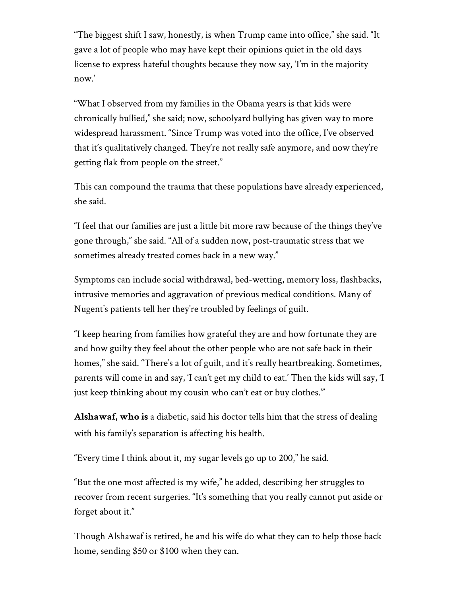"The biggest shift I saw, honestly, is when Trump came into office," she said. "It gave a lot of people who may have kept their opinions quiet in the old days license to express hateful thoughts because they now say, 'I'm in the majority now.'

"What I observed from my families in the Obama years is that kids were chronically bullied," she said; now, schoolyard bullying has given way to more widespread harassment. "Since Trump was voted into the office, I've observed that it's qualitatively changed. They're not really safe anymore, and now they're getting flak from people on the street."

This can compound the trauma that these populations have already experienced, she said.

"I feel that our families are just a little bit more raw because of the things they've gone through," she said. "All of a sudden now, post-traumatic stress that we sometimes already treated comes back in a new way."

Symptoms can include social withdrawal, bed-wetting, memory loss, flashbacks, intrusive memories and aggravation of previous medical conditions. Many of Nugent's patients tell her they're troubled by feelings of guilt.

"I keep hearing from families how grateful they are and how fortunate they are and how guilty they feel about the other people who are not safe back in their homes," she said. "There's a lot of guilt, and it's really heartbreaking. Sometimes, parents will come in and say, 'I can't get my child to eat.' Then the kids will say, 'I just keep thinking about my cousin who can't eat or buy clothes.'"

**Alshawaf, who is** a diabetic, said his doctor tells him that the stress of dealing with his family's separation is affecting his health.

"Every time I think about it, my sugar levels go up to 200," he said.

"But the one most affected is my wife," he added, describing her struggles to recover from recent surgeries. "It's something that you really cannot put aside or forget about it."

Though Alshawaf is retired, he and his wife do what they can to help those back home, sending \$50 or \$100 when they can.